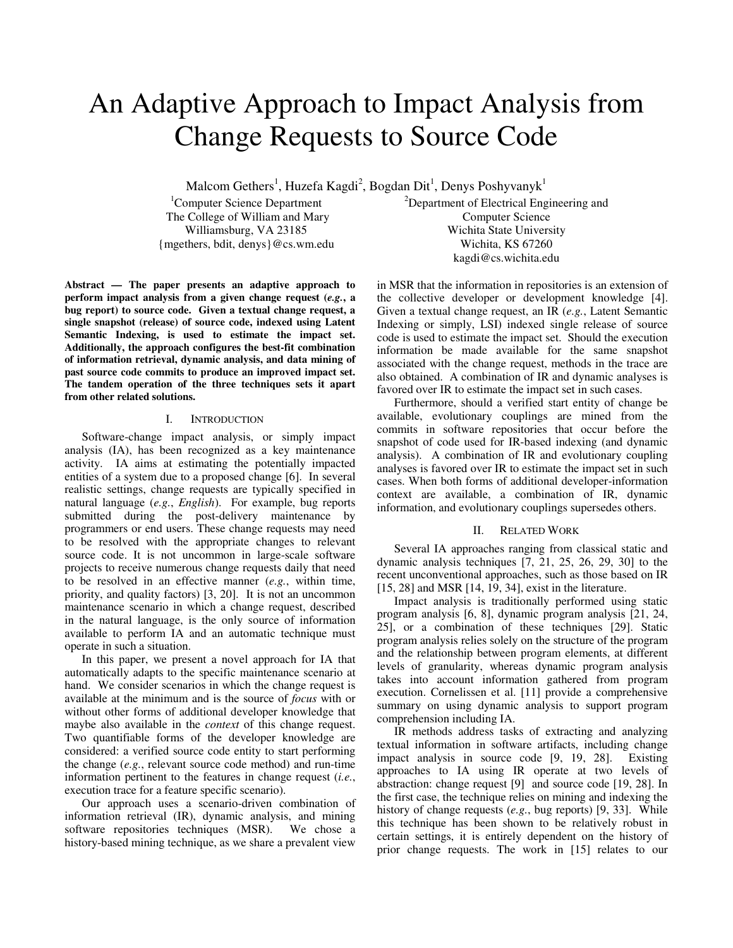# An Adaptive Approach to Impact Analysis from Change Requests to Source Code

Malcom Gethers $^{\rm l}$ , Huzefa Kagdi $^{\rm 2}$ , Bogdan Dit $^{\rm l}$ , Denys Poshyvanyk $^{\rm l}$ 

<sup>1</sup>Computer Science Department The College of William and Mary Williamsburg, VA 23185 {mgethers, bdit, denys}@cs.wm.edu

**Abstract — The paper presents an adaptive approach to perform impact analysis from a given change request (***e.g.***, a bug report) to source code. Given a textual change request, a single snapshot (release) of source code, indexed using Latent Semantic Indexing, is used to estimate the impact set. Additionally, the approach configures the best-fit combination of information retrieval, dynamic analysis, and data mining of past source code commits to produce an improved impact set. The tandem operation of the three techniques sets it apart from other related solutions.** 

#### I. INTRODUCTION

Software-change impact analysis, or simply impact analysis (IA), has been recognized as a key maintenance activity. IA aims at estimating the potentially impacted entities of a system due to a proposed change [6]. In several realistic settings, change requests are typically specified in natural language (*e.g.*, *English*). For example, bug reports submitted during the post-delivery maintenance by programmers or end users. These change requests may need to be resolved with the appropriate changes to relevant source code. It is not uncommon in large-scale software projects to receive numerous change requests daily that need to be resolved in an effective manner (*e.g.*, within time, priority, and quality factors) [3, 20]. It is not an uncommon maintenance scenario in which a change request, described in the natural language, is the only source of information available to perform IA and an automatic technique must operate in such a situation.

In this paper, we present a novel approach for IA that automatically adapts to the specific maintenance scenario at hand. We consider scenarios in which the change request is available at the minimum and is the source of *focus* with or without other forms of additional developer knowledge that maybe also available in the *context* of this change request. Two quantifiable forms of the developer knowledge are considered: a verified source code entity to start performing the change (*e.g.*, relevant source code method) and run-time information pertinent to the features in change request (*i.e.*, execution trace for a feature specific scenario).

Our approach uses a scenario-driven combination of information retrieval (IR), dynamic analysis, and mining software repositories techniques (MSR). We chose a history-based mining technique, as we share a prevalent view

<sup>2</sup>Department of Electrical Engineering and Computer Science Wichita State University Wichita, KS 67260 kagdi@cs.wichita.edu

in MSR that the information in repositories is an extension of the collective developer or development knowledge [4]. Given a textual change request, an IR (*e.g.*, Latent Semantic Indexing or simply, LSI) indexed single release of source code is used to estimate the impact set. Should the execution information be made available for the same snapshot associated with the change request, methods in the trace are also obtained. A combination of IR and dynamic analyses is favored over IR to estimate the impact set in such cases.

Furthermore, should a verified start entity of change be available, evolutionary couplings are mined from the commits in software repositories that occur before the snapshot of code used for IR-based indexing (and dynamic analysis). A combination of IR and evolutionary coupling analyses is favored over IR to estimate the impact set in such cases. When both forms of additional developer-information context are available, a combination of IR, dynamic information, and evolutionary couplings supersedes others.

#### II. RELATED WORK

Several IA approaches ranging from classical static and dynamic analysis techniques [7, 21, 25, 26, 29, 30] to the recent unconventional approaches, such as those based on IR [15, 28] and MSR [14, 19, 34], exist in the literature.

Impact analysis is traditionally performed using static program analysis [6, 8], dynamic program analysis [21, 24, 25], or a combination of these techniques [29]. Static program analysis relies solely on the structure of the program and the relationship between program elements, at different levels of granularity, whereas dynamic program analysis takes into account information gathered from program execution. Cornelissen et al. [11] provide a comprehensive summary on using dynamic analysis to support program comprehension including IA.

IR methods address tasks of extracting and analyzing textual information in software artifacts, including change impact analysis in source code [9, 19, 28]. Existing approaches to IA using IR operate at two levels of abstraction: change request [9] and source code [19, 28]. In the first case, the technique relies on mining and indexing the history of change requests (*e.g.*, bug reports) [9, 33]. While this technique has been shown to be relatively robust in certain settings, it is entirely dependent on the history of prior change requests. The work in [15] relates to our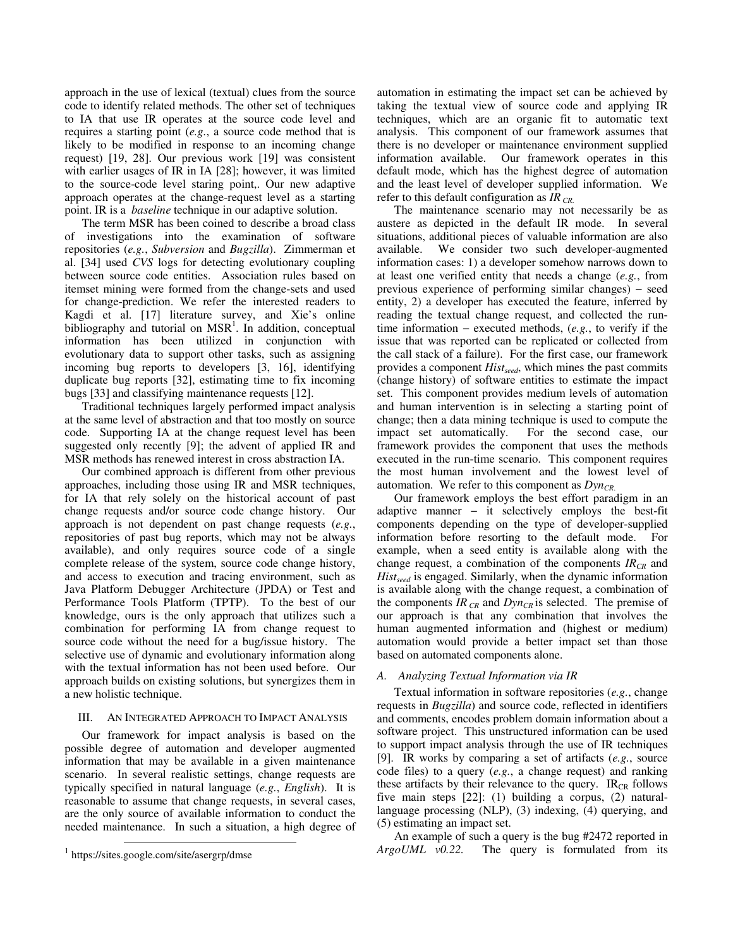approach in the use of lexical (textual) clues from the source code to identify related methods. The other set of techniques to IA that use IR operates at the source code level and requires a starting point (*e.g.*, a source code method that is likely to be modified in response to an incoming change request) [19, 28]. Our previous work [19] was consistent with earlier usages of IR in IA [28]; however, it was limited to the source-code level staring point,. Our new adaptive approach operates at the change-request level as a starting point. IR is a *baseline* technique in our adaptive solution.

The term MSR has been coined to describe a broad class of investigations into the examination of software repositories (*e.g.*, *Subversion* and *Bugzilla*). Zimmerman et al. [34] used *CVS* logs for detecting evolutionary coupling between source code entities. Association rules based on itemset mining were formed from the change-sets and used for change-prediction. We refer the interested readers to Kagdi et al. [17] literature survey, and Xie's online bibliography and tutorial on  $MSR<sup>1</sup>$ . In addition, conceptual information has been utilized in conjunction with evolutionary data to support other tasks, such as assigning incoming bug reports to developers [3, 16], identifying duplicate bug reports [32], estimating time to fix incoming bugs [33] and classifying maintenance requests [12].

Traditional techniques largely performed impact analysis at the same level of abstraction and that too mostly on source code. Supporting IA at the change request level has been suggested only recently [9]; the advent of applied IR and MSR methods has renewed interest in cross abstraction IA.

Our combined approach is different from other previous approaches, including those using IR and MSR techniques, for IA that rely solely on the historical account of past change requests and/or source code change history. Our approach is not dependent on past change requests (*e.g.*, repositories of past bug reports, which may not be always available), and only requires source code of a single complete release of the system, source code change history, and access to execution and tracing environment, such as Java Platform Debugger Architecture (JPDA) or Test and Performance Tools Platform (TPTP). To the best of our knowledge, ours is the only approach that utilizes such a combination for performing IA from change request to source code without the need for a bug/issue history. The selective use of dynamic and evolutionary information along with the textual information has not been used before. Our approach builds on existing solutions, but synergizes them in a new holistic technique.

#### III. AN INTEGRATED APPROACH TO IMPACT ANALYSIS

Our framework for impact analysis is based on the possible degree of automation and developer augmented information that may be available in a given maintenance scenario. In several realistic settings, change requests are typically specified in natural language (*e.g.*, *English*). It is reasonable to assume that change requests, in several cases, are the only source of available information to conduct the needed maintenance. In such a situation, a high degree of

j

automation in estimating the impact set can be achieved by taking the textual view of source code and applying IR techniques, which are an organic fit to automatic text analysis. This component of our framework assumes that there is no developer or maintenance environment supplied information available. Our framework operates in this default mode, which has the highest degree of automation and the least level of developer supplied information. We refer to this default configuration as *IR CR*.

The maintenance scenario may not necessarily be as austere as depicted in the default IR mode. In several situations, additional pieces of valuable information are also available. We consider two such developer-augmented information cases: 1) a developer somehow narrows down to at least one verified entity that needs a change (*e.g.*, from previous experience of performing similar changes) − seed entity, 2) a developer has executed the feature, inferred by reading the textual change request, and collected the runtime information − executed methods, (*e.g.*, to verify if the issue that was reported can be replicated or collected from the call stack of a failure). For the first case, our framework provides a component *Histseed*, which mines the past commits (change history) of software entities to estimate the impact set. This component provides medium levels of automation and human intervention is in selecting a starting point of change; then a data mining technique is used to compute the impact set automatically. For the second case, our framework provides the component that uses the methods executed in the run-time scenario. This component requires the most human involvement and the lowest level of automation. We refer to this component as *DynCR*.

Our framework employs the best effort paradigm in an adaptive manner − it selectively employs the best-fit components depending on the type of developer-supplied information before resorting to the default mode. For example, when a seed entity is available along with the change request, a combination of the components *IRCR* and *Histseed* is engaged. Similarly, when the dynamic information is available along with the change request, a combination of the components *IR*<sub>*CR*</sub> and *Dyn<sub>CR</sub>* is selected. The premise of our approach is that any combination that involves the human augmented information and (highest or medium) automation would provide a better impact set than those based on automated components alone.

#### *A. Analyzing Textual Information via IR*

Textual information in software repositories (*e.g.*, change requests in *Bugzilla*) and source code, reflected in identifiers and comments, encodes problem domain information about a software project. This unstructured information can be used to support impact analysis through the use of IR techniques [9]. IR works by comparing a set of artifacts (*e.g.*, source code files) to a query (*e.g.*, a change request) and ranking these artifacts by their relevance to the query.  $IR_{CR}$  follows five main steps [22]: (1) building a corpus, (2) naturallanguage processing (NLP), (3) indexing, (4) querying, and (5) estimating an impact set.

An example of such a query is the bug #2472 reported in *ArgoUML v0.22.* The query is formulated from its

<sup>1</sup> https://sites.google.com/site/asergrp/dmse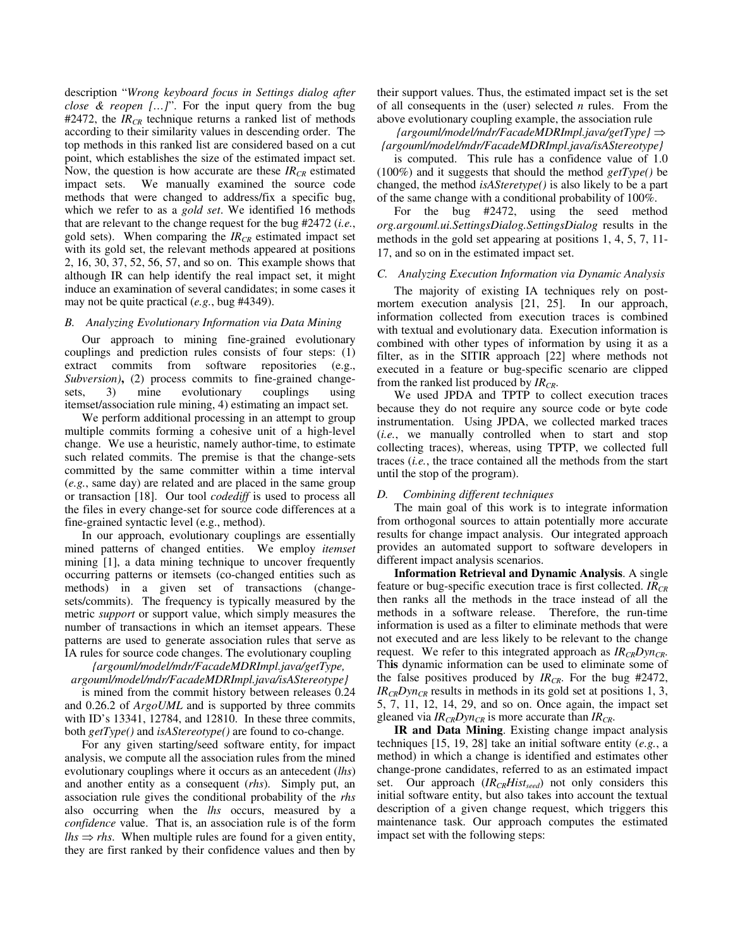description "*Wrong keyboard focus in Settings dialog after close & reopen […]*". For the input query from the bug  $\#2472$ , the *IR<sub>CR</sub>* technique returns a ranked list of methods according to their similarity values in descending order. The top methods in this ranked list are considered based on a cut point, which establishes the size of the estimated impact set. Now, the question is how accurate are these *IR<sub>CR</sub>* estimated impact sets. We manually examined the source code We manually examined the source code methods that were changed to address/fix a specific bug, which we refer to as a *gold set*. We identified 16 methods that are relevant to the change request for the bug #2472 (*i.e.*, gold sets). When comparing the *IRCR* estimated impact set with its gold set, the relevant methods appeared at positions 2, 16, 30, 37, 52, 56, 57, and so on. This example shows that although IR can help identify the real impact set, it might induce an examination of several candidates; in some cases it may not be quite practical (*e.g.*, bug #4349).

# *B. Analyzing Evolutionary Information via Data Mining*

Our approach to mining fine-grained evolutionary couplings and prediction rules consists of four steps: (1) extract commits from software repositories (e.g., *Subversion*), (2) process commits to fine-grained changesets, 3) mine evolutionary couplings using itemset/association rule mining, 4) estimating an impact set.

We perform additional processing in an attempt to group multiple commits forming a cohesive unit of a high-level change. We use a heuristic, namely author-time, to estimate such related commits. The premise is that the change-sets committed by the same committer within a time interval (*e.g.*, same day) are related and are placed in the same group or transaction [18]. Our tool *codediff* is used to process all the files in every change-set for source code differences at a fine-grained syntactic level (e.g., method).

In our approach, evolutionary couplings are essentially mined patterns of changed entities. We employ *itemset* mining [1], a data mining technique to uncover frequently occurring patterns or itemsets (co-changed entities such as methods) in a given set of transactions (changesets/commits). The frequency is typically measured by the metric *support* or support value, which simply measures the number of transactions in which an itemset appears. These patterns are used to generate association rules that serve as IA rules for source code changes. The evolutionary coupling

#### *{argouml/model/mdr/FacadeMDRImpl.java/getType, argouml/model/mdr/FacadeMDRImpl.java/isAStereotype}*

is mined from the commit history between releases 0.24 and 0.26.2 of *ArgoUML* and is supported by three commits with ID's 13341, 12784, and 12810. In these three commits, both *getType()* and *isAStereotype()* are found to co-change.

For any given starting/seed software entity, for impact analysis, we compute all the association rules from the mined evolutionary couplings where it occurs as an antecedent (*lhs*) and another entity as a consequent (*rhs*). Simply put, an association rule gives the conditional probability of the *rhs*  also occurring when the *lhs* occurs, measured by a *confidence* value. That is, an association rule is of the form *lhs*  $\Rightarrow$  *rhs*. When multiple rules are found for a given entity, they are first ranked by their confidence values and then by their support values. Thus, the estimated impact set is the set of all consequents in the (user) selected *n* rules. From the above evolutionary coupling example, the association rule

# *{argouml/model/mdr/FacadeMDRImpl.java/getType}* ⇒ *{argouml/model/mdr/FacadeMDRImpl.java/isAStereotype}*

is computed. This rule has a confidence value of 1.0 (100%) and it suggests that should the method *getType()* be changed, the method *isASteretype()* is also likely to be a part of the same change with a conditional probability of 100%.

For the bug #2472, using the seed method *org.argouml.ui.SettingsDialog.SettingsDialog* results in the methods in the gold set appearing at positions 1, 4, 5, 7, 11- 17, and so on in the estimated impact set.

# *C. Analyzing Execution Information via Dynamic Analysis*

The majority of existing IA techniques rely on postmortem execution analysis [21, 25]. In our approach, information collected from execution traces is combined with textual and evolutionary data. Execution information is combined with other types of information by using it as a filter, as in the SITIR approach [22] where methods not executed in a feature or bug-specific scenario are clipped from the ranked list produced by *IRCR*.

We used JPDA and TPTP to collect execution traces because they do not require any source code or byte code instrumentation. Using JPDA, we collected marked traces (*i.e.*, we manually controlled when to start and stop collecting traces), whereas, using TPTP, we collected full traces (*i.e.*, the trace contained all the methods from the start until the stop of the program).

#### *D. Combining different techniques*

The main goal of this work is to integrate information from orthogonal sources to attain potentially more accurate results for change impact analysis. Our integrated approach provides an automated support to software developers in different impact analysis scenarios.

**Information Retrieval and Dynamic Analysis**. A single feature or bug-specific execution trace is first collected. *IRCR* then ranks all the methods in the trace instead of all the methods in a software release. Therefore, the run-time information is used as a filter to eliminate methods that were not executed and are less likely to be relevant to the change request. We refer to this integrated approach as *IRCRDynCR*. Th**is** dynamic information can be used to eliminate some of the false positives produced by *IRCR*. For the bug #2472,  $IR_{CR}$ *Dyn<sub>CR</sub>* results in methods in its gold set at positions 1, 3, 5, 7, 11, 12, 14, 29, and so on. Once again, the impact set gleaned via *IRCRDynCR* is more accurate than *IRCR*.

**IR and Data Mining**. Existing change impact analysis techniques [15, 19, 28] take an initial software entity (*e.g.*, a method) in which a change is identified and estimates other change-prone candidates, referred to as an estimated impact set. Our approach (*IRCRHistseed*) not only considers this initial software entity, but also takes into account the textual description of a given change request, which triggers this maintenance task. Our approach computes the estimated impact set with the following steps: